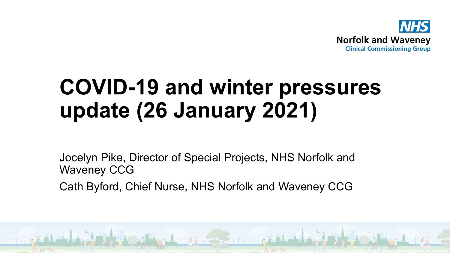

# **COVID-19 and winter pressures update (26 January 2021)**

Jocelyn Pike, Director of Special Projects, NHS Norfolk and Waveney CCG

Cath Byford, Chief Nurse, NHS Norfolk and Waveney CCG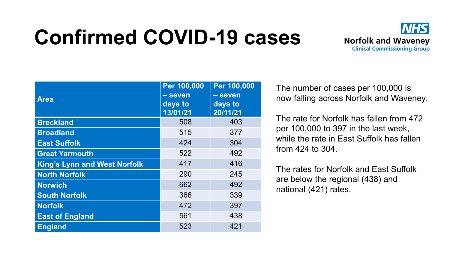# **Confirmed COVID-19 cases**



| <b>Area</b>                         | Per 100,000<br>- seven<br>days to<br>13/01/21 | Per 100,000<br>- seven<br>days to<br>20/11/21 |
|-------------------------------------|-----------------------------------------------|-----------------------------------------------|
| <b>Breckland</b>                    | 508                                           | 403                                           |
| <b>Broadland</b>                    | 515                                           | 377                                           |
| <b>East Suffolk</b>                 | 424                                           | 304                                           |
| <b>Great Yarmouth</b>               | 522                                           | 492                                           |
| <b>King's Lynn and West Norfolk</b> | 417                                           | 416                                           |
| <b>North Norfolk</b>                | 290                                           | 245                                           |
| <b>Norwich</b>                      | 662                                           | 492                                           |
| <b>South Norfolk</b>                | 366                                           | 339                                           |
| <b>Norfolk</b>                      | 472                                           | 397                                           |
| <b>East of England</b>              | 561                                           | 438                                           |
| <b>England</b>                      | 523                                           | 421                                           |

The number of cases per 100,000 is now falling across Norfolk and Waveney.

The rate for Norfolk has fallen from 472 per 100,000 to 397 in the last week, while the rate in East Suffolk has fallen from 424 to 304.

The rates for Norfolk and East Suffolk are below the regional (438) and national (421) rates.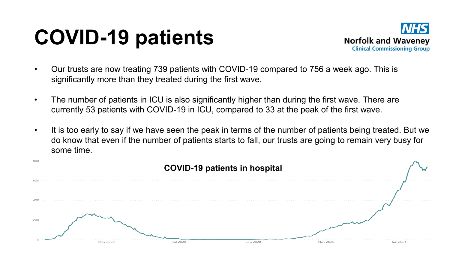## **COVID-19 patients**



- Our trusts are now treating 739 patients with COVID-19 compared to 756 a week ago. This is significantly more than they treated during the first wave.
- The number of patients in ICU is also significantly higher than during the first wave. There are currently 53 patients with COVID-19 in ICU, compared to 33 at the peak of the first wave.
- It is too early to say if we have seen the peak in terms of the number of patients being treated. But we do know that even if the number of patients starts to fall, our trusts are going to remain very busy for some time.

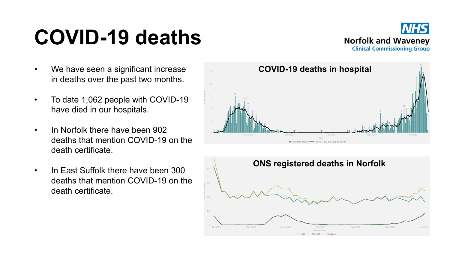## **COVID-19 deaths**



- We have seen a significant increase in deaths over the past two months.
- To date 1,062 people with COVID-19 have died in our hospitals.
- In Norfolk there have been 902 deaths that mention COVID-19 on the death certificate.
- In East Suffolk there have been 300 deaths that mention COVID-19 on the death certificate.



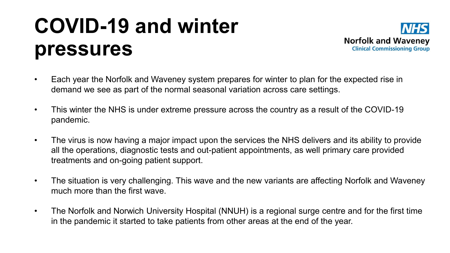## **COVID-19 and winter pressures**



- Each year the Norfolk and Waveney system prepares for winter to plan for the expected rise in demand we see as part of the normal seasonal variation across care settings.
- This winter the NHS is under extreme pressure across the country as a result of the COVID-19 pandemic.
- The virus is now having a major impact upon the services the NHS delivers and its ability to provide all the operations, diagnostic tests and out-patient appointments, as well primary care provided treatments and on-going patient support.
- The situation is very challenging. This wave and the new variants are affecting Norfolk and Waveney much more than the first wave.
- The Norfolk and Norwich University Hospital (NNUH) is a regional surge centre and for the first time in the pandemic it started to take patients from other areas at the end of the year.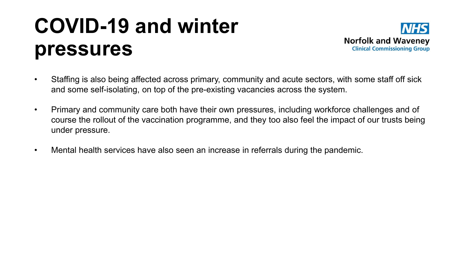## **COVID-19 and winter pressures**



- Staffing is also being affected across primary, community and acute sectors, with some staff off sick and some self-isolating, on top of the pre-existing vacancies across the system.
- Primary and community care both have their own pressures, including workforce challenges and of course the rollout of the vaccination programme, and they too also feel the impact of our trusts being under pressure.
- Mental health services have also seen an increase in referrals during the pandemic.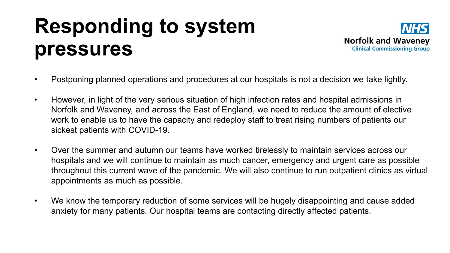#### **Responding to system pressures**



- Postponing planned operations and procedures at our hospitals is not a decision we take lightly.
- However, in light of the very serious situation of high infection rates and hospital admissions in Norfolk and Waveney, and across the East of England, we need to reduce the amount of elective work to enable us to have the capacity and redeploy staff to treat rising numbers of patients our sickest patients with COVID-19.
- Over the summer and autumn our teams have worked tirelessly to maintain services across our hospitals and we will continue to maintain as much cancer, emergency and urgent care as possible throughout this current wave of the pandemic. We will also continue to run outpatient clinics as virtual appointments as much as possible.
- We know the temporary reduction of some services will be hugely disappointing and cause added anxiety for many patients. Our hospital teams are contacting directly affected patients.